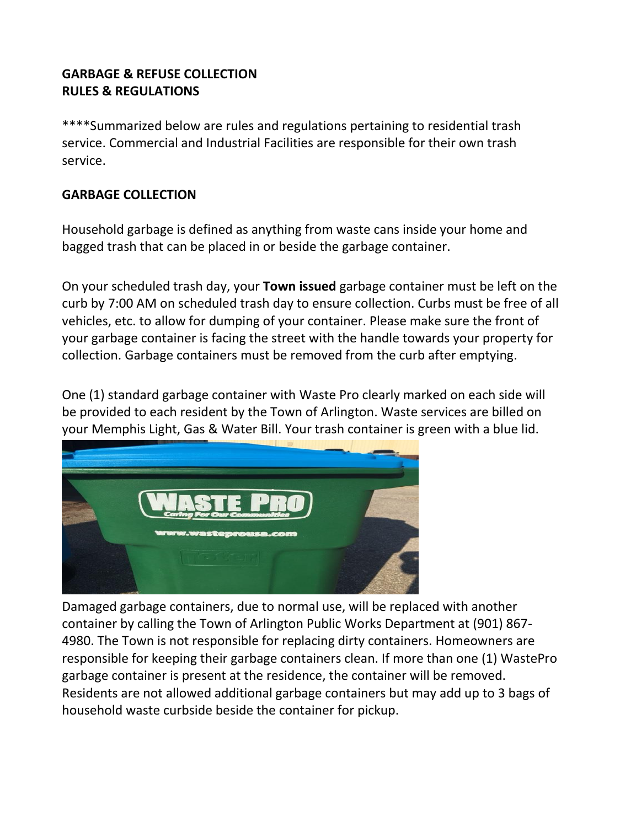# **GARBAGE & REFUSE COLLECTION RULES & REGULATIONS**

\*\*\*\*Summarized below are rules and regulations pertaining to residential trash service. Commercial and Industrial Facilities are responsible for their own trash service.

# **GARBAGE COLLECTION**

Household garbage is defined as anything from waste cans inside your home and bagged trash that can be placed in or beside the garbage container.

On your scheduled trash day, your **Town issued** garbage container must be left on the curb by 7:00 AM on scheduled trash day to ensure collection. Curbs must be free of all vehicles, etc. to allow for dumping of your container. Please make sure the front of your garbage container is facing the street with the handle towards your property for collection. Garbage containers must be removed from the curb after emptying.

One (1) standard garbage container with Waste Pro clearly marked on each side will be provided to each resident by the Town of Arlington. Waste services are billed on your Memphis Light, Gas & Water Bill. Your trash container is green with a blue lid.



Damaged garbage containers, due to normal use, will be replaced with another container by calling the Town of Arlington Public Works Department at (901) 867- 4980. The Town is not responsible for replacing dirty containers. Homeowners are responsible for keeping their garbage containers clean. If more than one (1) WastePro garbage container is present at the residence, the container will be removed. Residents are not allowed additional garbage containers but may add up to 3 bags of household waste curbside beside the container for pickup.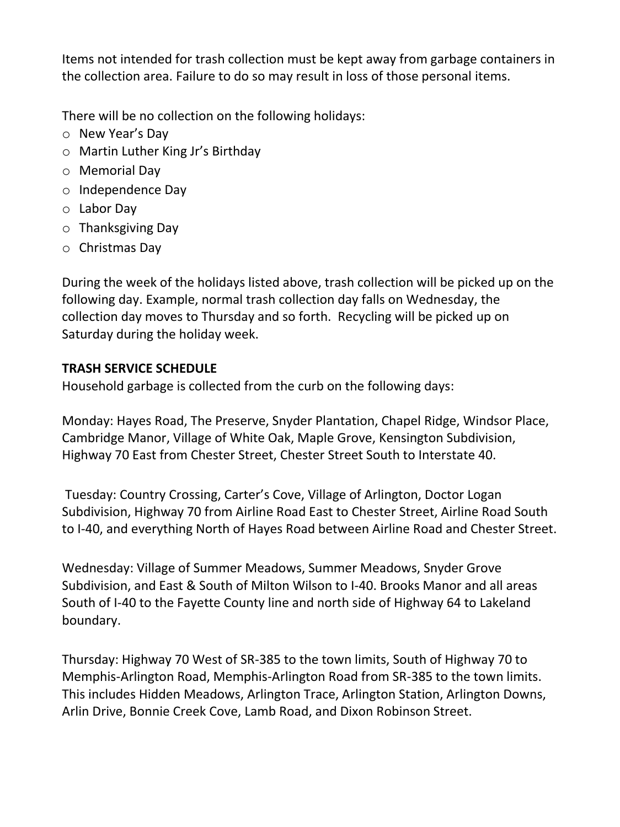Items not intended for trash collection must be kept away from garbage containers in the collection area. Failure to do so may result in loss of those personal items.

There will be no collection on the following holidays:

- o New Year's Day
- o Martin Luther King Jr's Birthday
- o Memorial Day
- o Independence Day
- o Labor Day
- o Thanksgiving Day
- o Christmas Day

During the week of the holidays listed above, trash collection will be picked up on the following day. Example, normal trash collection day falls on Wednesday, the collection day moves to Thursday and so forth. Recycling will be picked up on Saturday during the holiday week.

### **TRASH SERVICE SCHEDULE**

Household garbage is collected from the curb on the following days:

Monday: Hayes Road, The Preserve, Snyder Plantation, Chapel Ridge, Windsor Place, Cambridge Manor, Village of White Oak, Maple Grove, Kensington Subdivision, Highway 70 East from Chester Street, Chester Street South to Interstate 40.

Tuesday: Country Crossing, Carter's Cove, Village of Arlington, Doctor Logan Subdivision, Highway 70 from Airline Road East to Chester Street, Airline Road South to I-40, and everything North of Hayes Road between Airline Road and Chester Street.

Wednesday: Village of Summer Meadows, Summer Meadows, Snyder Grove Subdivision, and East & South of Milton Wilson to I-40. Brooks Manor and all areas South of I-40 to the Fayette County line and north side of Highway 64 to Lakeland boundary.

Thursday: Highway 70 West of SR-385 to the town limits, South of Highway 70 to Memphis-Arlington Road, Memphis-Arlington Road from SR-385 to the town limits. This includes Hidden Meadows, Arlington Trace, Arlington Station, Arlington Downs, Arlin Drive, Bonnie Creek Cove, Lamb Road, and Dixon Robinson Street.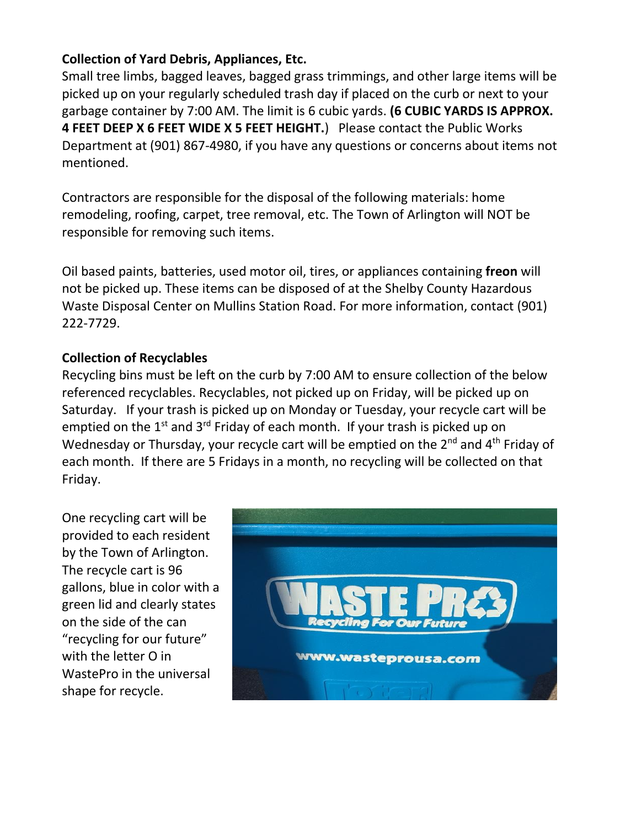### **Collection of Yard Debris, Appliances, Etc.**

Small tree limbs, bagged leaves, bagged grass trimmings, and other large items will be picked up on your regularly scheduled trash day if placed on the curb or next to your garbage container by 7:00 AM. The limit is 6 cubic yards. **(6 CUBIC YARDS IS APPROX. 4 FEET DEEP X 6 FEET WIDE X 5 FEET HEIGHT.**) Please contact the Public Works Department at (901) 867-4980, if you have any questions or concerns about items not mentioned.

Contractors are responsible for the disposal of the following materials: home remodeling, roofing, carpet, tree removal, etc. The Town of Arlington will NOT be responsible for removing such items.

Oil based paints, batteries, used motor oil, tires, or appliances containing **freon** will not be picked up. These items can be disposed of at the Shelby County Hazardous Waste Disposal Center on Mullins Station Road. For more information, contact (901) 222-7729.

#### **Collection of Recyclables**

Recycling bins must be left on the curb by 7:00 AM to ensure collection of the below referenced recyclables. Recyclables, not picked up on Friday, will be picked up on Saturday. If your trash is picked up on Monday or Tuesday, your recycle cart will be emptied on the  $1<sup>st</sup>$  and  $3<sup>rd</sup>$  Friday of each month. If your trash is picked up on Wednesday or Thursday, your recycle cart will be emptied on the 2<sup>nd</sup> and 4<sup>th</sup> Friday of each month. If there are 5 Fridays in a month, no recycling will be collected on that Friday.

One recycling cart will be provided to each resident by the Town of Arlington. The recycle cart is 96 gallons, blue in color with a green lid and clearly states on the side of the can "recycling for our future" with the letter O in WastePro in the universal shape for recycle.

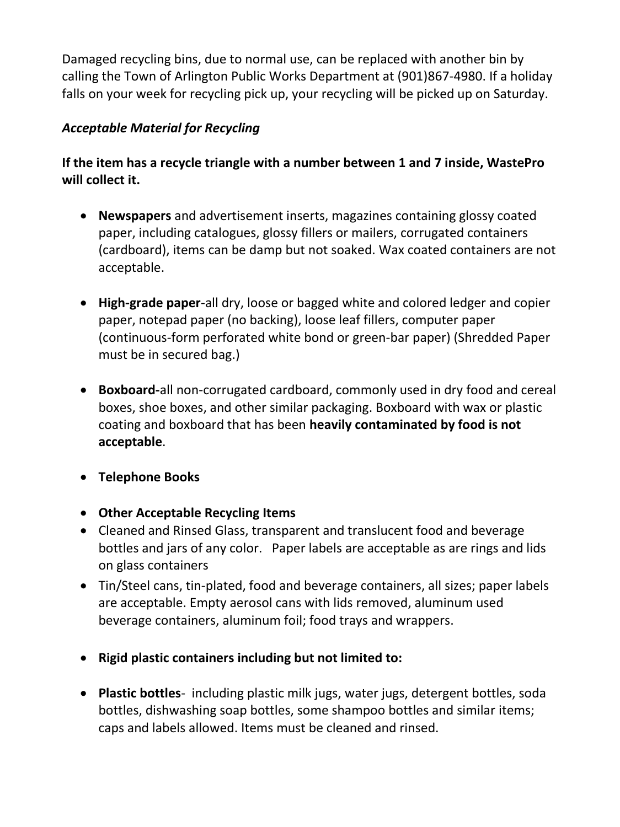Damaged recycling bins, due to normal use, can be replaced with another bin by calling the Town of Arlington Public Works Department at (901)867-4980. If a holiday falls on your week for recycling pick up, your recycling will be picked up on Saturday.

### *Acceptable Material for Recycling*

# **If the item has a recycle triangle with a number between 1 and 7 inside, WastePro will collect it.**

- **Newspapers** and advertisement inserts, magazines containing glossy coated paper, including catalogues, glossy fillers or mailers, corrugated containers (cardboard), items can be damp but not soaked. Wax coated containers are not acceptable.
- **High-grade paper**-all dry, loose or bagged white and colored ledger and copier paper, notepad paper (no backing), loose leaf fillers, computer paper (continuous-form perforated white bond or green-bar paper) (Shredded Paper must be in secured bag.)
- **Boxboard-**all non-corrugated cardboard, commonly used in dry food and cereal boxes, shoe boxes, and other similar packaging. Boxboard with wax or plastic coating and boxboard that has been **heavily contaminated by food is not acceptable**.
- **Telephone Books**
- **Other Acceptable Recycling Items**
- Cleaned and Rinsed Glass, transparent and translucent food and beverage bottles and jars of any color. Paper labels are acceptable as are rings and lids on glass containers
- Tin/Steel cans, tin-plated, food and beverage containers, all sizes; paper labels are acceptable. Empty aerosol cans with lids removed, aluminum used beverage containers, aluminum foil; food trays and wrappers.
- **Rigid plastic containers including but not limited to:**
- **Plastic bottles** including plastic milk jugs, water jugs, detergent bottles, soda bottles, dishwashing soap bottles, some shampoo bottles and similar items; caps and labels allowed. Items must be cleaned and rinsed.